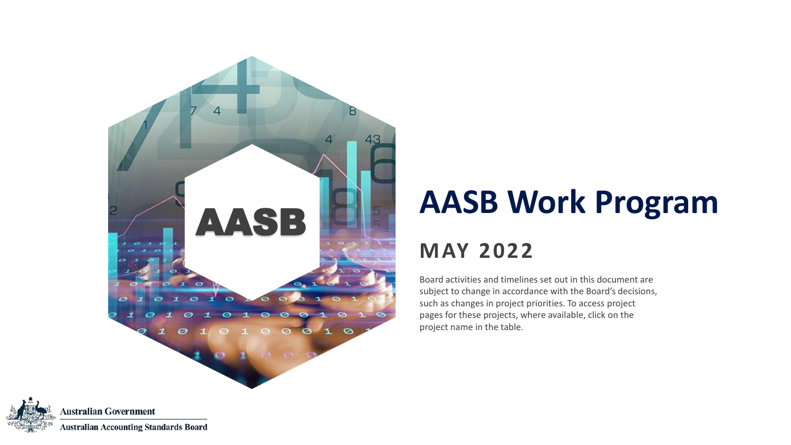

## **AASB Work Program**

#### **MAY 2022**

Board activities and timelines set out in this document are subject to change in accordance with the Board's decisions, such as changes in project priorities. To access project pages for these projects, where available, click on the project name in the table.

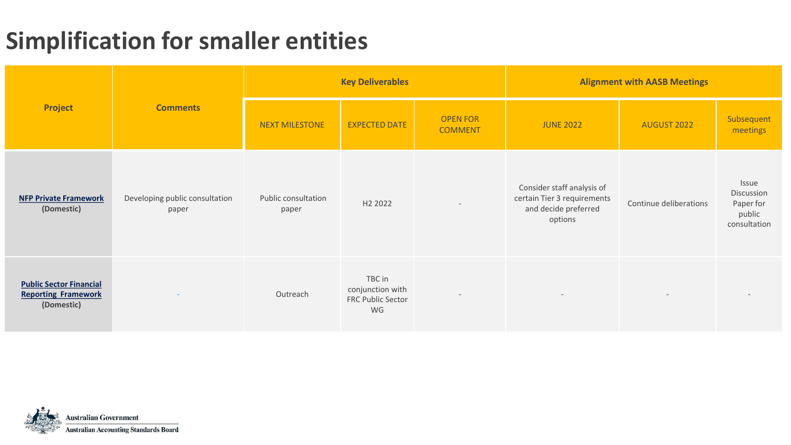### **Simplification for smaller entities**

|                                                                            |                                         |                              | <b>Key Deliverables</b>                               |                                   | <b>Alignment with AASB Meetings</b>                                                          |                        |                                                            |  |
|----------------------------------------------------------------------------|-----------------------------------------|------------------------------|-------------------------------------------------------|-----------------------------------|----------------------------------------------------------------------------------------------|------------------------|------------------------------------------------------------|--|
| <b>Project</b>                                                             | <b>Comments</b>                         | NEXT MILESTONE               | <b>EXPECTED DATE</b>                                  | <b>OPEN FOR</b><br><b>COMMENT</b> | <b>JUNE 2022</b>                                                                             | AUGUST 2022            | Subsequent<br>meetings                                     |  |
| <b>NFP Private Framework</b><br>(Domestic)                                 | Developing public consultation<br>paper | Public consultation<br>paper | H <sub>2</sub> 2022                                   |                                   | Consider staff analysis of<br>certain Tier 3 requirements<br>and decide preferred<br>options | Continue deliberations | Issue<br>Discussion<br>Paper for<br>public<br>consultation |  |
| <b>Public Sector Financial</b><br><b>Reporting Framework</b><br>(Domestic) |                                         | Outreach                     | TBC in<br>conjunction with<br>FRC Public Sector<br>WG | $\overline{\phantom{a}}$          | $\overline{\phantom{a}}$                                                                     |                        |                                                            |  |

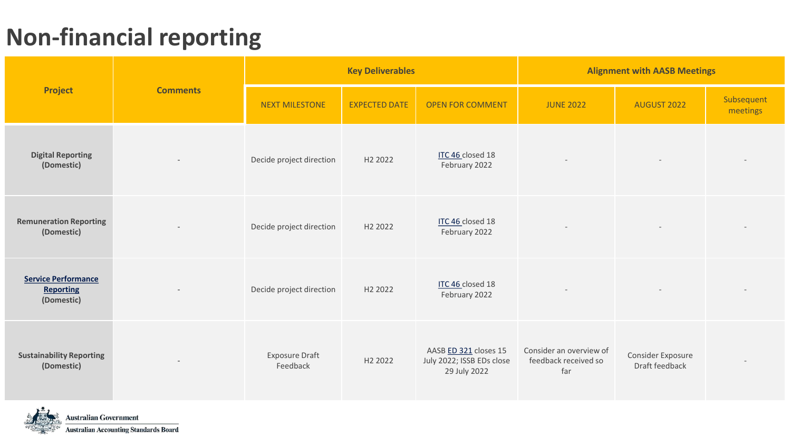#### **Non-financial reporting**

|                                                              |                 |                                   | <b>Key Deliverables</b> |                                                                    | <b>Alignment with AASB Meetings</b>                    |                                     |                        |  |  |
|--------------------------------------------------------------|-----------------|-----------------------------------|-------------------------|--------------------------------------------------------------------|--------------------------------------------------------|-------------------------------------|------------------------|--|--|
| <b>Project</b>                                               | <b>Comments</b> | <b>NEXT MILESTONE</b>             | <b>EXPECTED DATE</b>    | <b>OPEN FOR COMMENT</b>                                            | <b>JUNE 2022</b>                                       | <b>AUGUST 2022</b>                  | Subsequent<br>meetings |  |  |
| <b>Digital Reporting</b><br>(Domestic)                       |                 | Decide project direction          | H <sub>2</sub> 2022     | ITC 46 closed 18<br>February 2022                                  |                                                        |                                     |                        |  |  |
| <b>Remuneration Reporting</b><br>(Domestic)                  |                 | Decide project direction          | H <sub>2</sub> 2022     | ITC 46 closed 18<br>February 2022                                  |                                                        |                                     |                        |  |  |
| <b>Service Performance</b><br><b>Reporting</b><br>(Domestic) |                 | Decide project direction          | H <sub>2</sub> 2022     | ITC 46 closed 18<br>February 2022                                  |                                                        |                                     |                        |  |  |
| <b>Sustainability Reporting</b><br>(Domestic)                |                 | <b>Exposure Draft</b><br>Feedback | H <sub>2</sub> 2022     | AASB ED 321 closes 15<br>July 2022; ISSB EDs close<br>29 July 2022 | Consider an overview of<br>feedback received so<br>far | Consider Exposure<br>Draft feedback |                        |  |  |

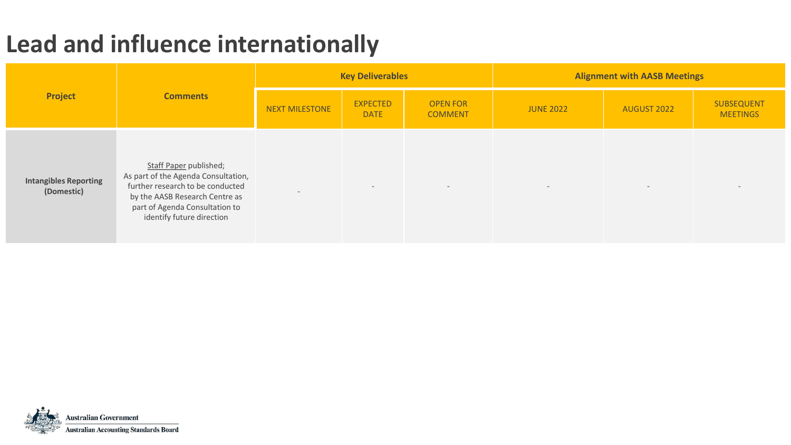#### **Lead and influence internationally**

|                                            |                                                                                                                                                                                                    |                       | <b>Key Deliverables</b>        |                                   | <b>Alignment with AASB Meetings</b> |                          |                               |  |
|--------------------------------------------|----------------------------------------------------------------------------------------------------------------------------------------------------------------------------------------------------|-----------------------|--------------------------------|-----------------------------------|-------------------------------------|--------------------------|-------------------------------|--|
| Project                                    | <b>Comments</b>                                                                                                                                                                                    | <b>NEXT MILESTONE</b> | <b>EXPECTED</b><br><b>DATE</b> | <b>OPEN FOR</b><br><b>COMMENT</b> | <b>JUNE 2022</b>                    | AUGUST 2022              | SUBSEQUENT<br><b>MEETINGS</b> |  |
| <b>Intangibles Reporting</b><br>(Domestic) | Staff Paper published;<br>As part of the Agenda Consultation,<br>further research to be conducted<br>by the AASB Research Centre as<br>part of Agenda Consultation to<br>identify future direction |                       | $\overline{a}$                 | $-$                               | $\overline{\phantom{a}}$            | $\overline{\phantom{0}}$ | $\overline{\phantom{0}}$      |  |

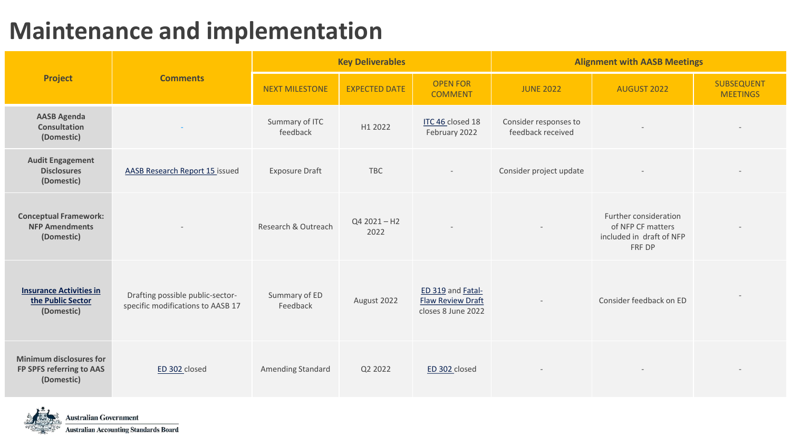#### **Maintenance and implementation**

|                                                                          |                                                                       |                                                                                                                                                                                                                                                                                                                                                                                                                                                        |                  | <b>Alignment with AASB Meetings</b>        |                                                                                  |  |  |
|--------------------------------------------------------------------------|-----------------------------------------------------------------------|--------------------------------------------------------------------------------------------------------------------------------------------------------------------------------------------------------------------------------------------------------------------------------------------------------------------------------------------------------------------------------------------------------------------------------------------------------|------------------|--------------------------------------------|----------------------------------------------------------------------------------|--|--|
| <b>Project</b>                                                           | <b>Comments</b>                                                       | <b>Key Deliverables</b><br><b>OPEN FOR</b><br><b>NEXT MILESTONE</b><br><b>EXPECTED DATE</b><br><b>COMMENT</b><br>Summary of ITC<br>ITC 46 closed 18<br>H1 2022<br>February 2022<br>feedback<br><b>Exposure Draft</b><br><b>TBC</b><br>$Q42021 - H2$<br>Research & Outreach<br>2022<br>ED 319 and Fatal-<br>Summary of ED<br>August 2022<br><b>Flaw Review Draft</b><br>Feedback<br>closes 8 June 2022<br>Amending Standard<br>Q2 2022<br>ED 302 closed | <b>JUNE 2022</b> | AUGUST 2022                                | SUBSEQUENT<br><b>MEETINGS</b>                                                    |  |  |
| <b>AASB Agenda</b><br><b>Consultation</b><br>(Domestic)                  |                                                                       |                                                                                                                                                                                                                                                                                                                                                                                                                                                        |                  | Consider responses to<br>feedback received |                                                                                  |  |  |
| <b>Audit Engagement</b><br><b>Disclosures</b><br>(Domestic)              | <b>AASB Research Report 15 issued</b>                                 |                                                                                                                                                                                                                                                                                                                                                                                                                                                        |                  | Consider project update                    |                                                                                  |  |  |
| <b>Conceptual Framework:</b><br><b>NFP Amendments</b><br>(Domestic)      |                                                                       |                                                                                                                                                                                                                                                                                                                                                                                                                                                        |                  |                                            | Further consideration<br>of NFP CF matters<br>included in draft of NFP<br>FRF DP |  |  |
| <b>Insurance Activities in</b><br>the Public Sector<br>(Domestic)        | Drafting possible public-sector-<br>specific modifications to AASB 17 |                                                                                                                                                                                                                                                                                                                                                                                                                                                        |                  |                                            | Consider feedback on ED                                                          |  |  |
| <b>Minimum disclosures for</b><br>FP SPFS referring to AAS<br>(Domestic) | ED 302 closed                                                         |                                                                                                                                                                                                                                                                                                                                                                                                                                                        |                  |                                            |                                                                                  |  |  |

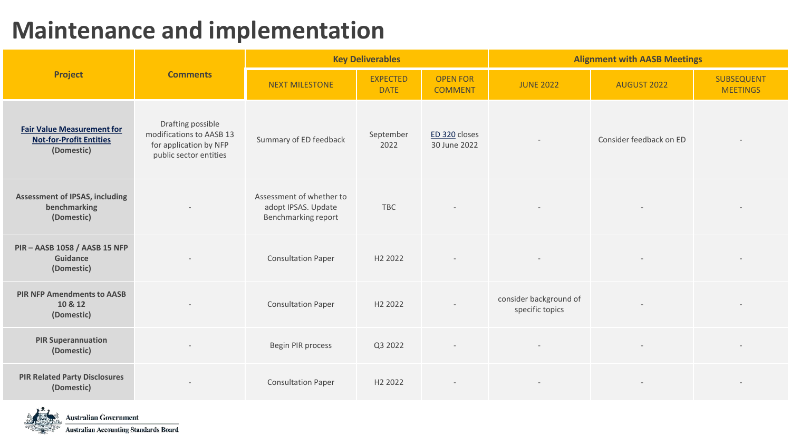#### **Maintenance and implementation**

|                                                                                   |                                                                                                   |                                                                        | <b>Key Deliverables</b>        |                                   | <b>Alignment with AASB Meetings</b>       |                         |                               |  |  |
|-----------------------------------------------------------------------------------|---------------------------------------------------------------------------------------------------|------------------------------------------------------------------------|--------------------------------|-----------------------------------|-------------------------------------------|-------------------------|-------------------------------|--|--|
| <b>Project</b>                                                                    | <b>Comments</b>                                                                                   | <b>NEXT MILESTONE</b>                                                  | <b>EXPECTED</b><br><b>DATE</b> | <b>OPEN FOR</b><br><b>COMMENT</b> | <b>JUNE 2022</b>                          | <b>AUGUST 2022</b>      | SUBSEQUENT<br><b>MEETINGS</b> |  |  |
| <b>Fair Value Measurement for</b><br><b>Not-for-Profit Entities</b><br>(Domestic) | Drafting possible<br>modifications to AASB 13<br>for application by NFP<br>public sector entities | Summary of ED feedback                                                 | September<br>2022              | ED 320 closes<br>30 June 2022     |                                           | Consider feedback on ED |                               |  |  |
| <b>Assessment of IPSAS, including</b><br>benchmarking<br>(Domestic)               |                                                                                                   | Assessment of whether to<br>adopt IPSAS. Update<br>Benchmarking report | <b>TBC</b>                     |                                   |                                           |                         |                               |  |  |
| PIR - AASB 1058 / AASB 15 NFP<br>Guidance<br>(Domestic)                           |                                                                                                   | <b>Consultation Paper</b>                                              | H <sub>2</sub> 2022            |                                   |                                           |                         |                               |  |  |
| <b>PIR NFP Amendments to AASB</b><br>10 & 12<br>(Domestic)                        |                                                                                                   | <b>Consultation Paper</b>                                              | H <sub>2</sub> 2022            |                                   | consider background of<br>specific topics |                         |                               |  |  |
| <b>PIR Superannuation</b><br>(Domestic)                                           |                                                                                                   | Begin PIR process                                                      | Q3 2022                        |                                   |                                           |                         |                               |  |  |
| <b>PIR Related Party Disclosures</b><br>(Domestic)                                |                                                                                                   | <b>Consultation Paper</b>                                              | H <sub>2</sub> 2022            |                                   |                                           |                         |                               |  |  |

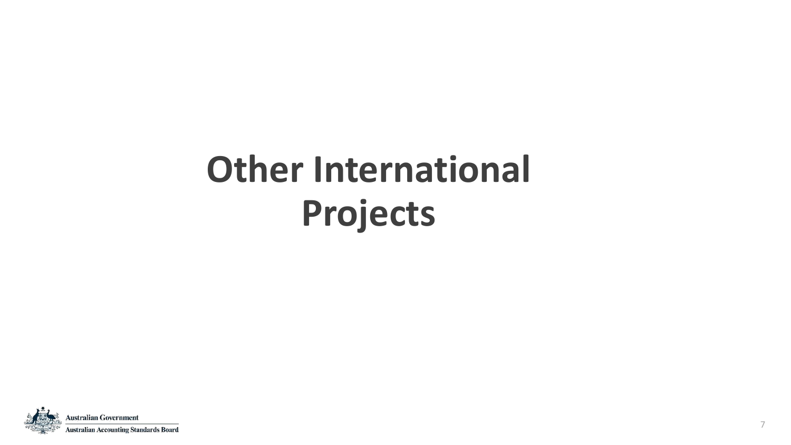# **Other International Projects**

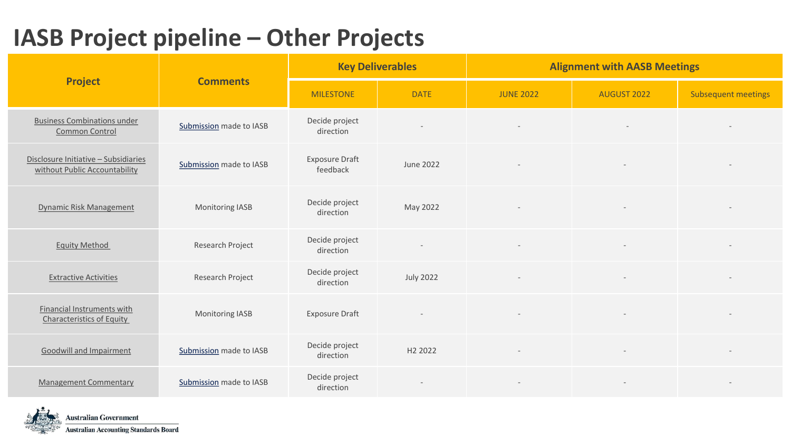|                                                                       |                         |                                   | <b>Key Deliverables</b>  | <b>Alignment with AASB Meetings</b> |                                                                                      |                            |  |  |
|-----------------------------------------------------------------------|-------------------------|-----------------------------------|--------------------------|-------------------------------------|--------------------------------------------------------------------------------------|----------------------------|--|--|
| <b>Project</b>                                                        | <b>Comments</b>         | <b>MILESTONE</b>                  | <b>DATE</b>              | <b>JUNE 2022</b>                    | <b>AUGUST 2022</b><br>$\sim$<br>$\overline{\phantom{a}}$<br>$\overline{\phantom{a}}$ | <b>Subsequent meetings</b> |  |  |
| <b>Business Combinations under</b><br>Common Control                  | Submission made to IASB | Decide project<br>direction       | $\overline{\phantom{a}}$ | $\overline{\phantom{a}}$            |                                                                                      |                            |  |  |
| Disclosure Initiative - Subsidiaries<br>without Public Accountability | Submission made to IASB | <b>Exposure Draft</b><br>feedback | June 2022                |                                     |                                                                                      |                            |  |  |
| <b>Dynamic Risk Management</b>                                        | Monitoring IASB         | Decide project<br>direction       | May 2022                 |                                     |                                                                                      |                            |  |  |
| <b>Equity Method</b>                                                  | Research Project        | Decide project<br>direction       |                          |                                     |                                                                                      |                            |  |  |
| <b>Extractive Activities</b>                                          | Research Project        | Decide project<br>direction       | <b>July 2022</b>         |                                     |                                                                                      |                            |  |  |
| Financial Instruments with<br><b>Characteristics of Equity</b>        | Monitoring IASB         | <b>Exposure Draft</b>             |                          |                                     |                                                                                      |                            |  |  |
| Goodwill and Impairment                                               | Submission made to IASB | Decide project<br>direction       | H <sub>2</sub> 2022      |                                     |                                                                                      |                            |  |  |
| <b>Management Commentary</b>                                          | Submission made to IASB | Decide project<br>direction       |                          |                                     |                                                                                      |                            |  |  |

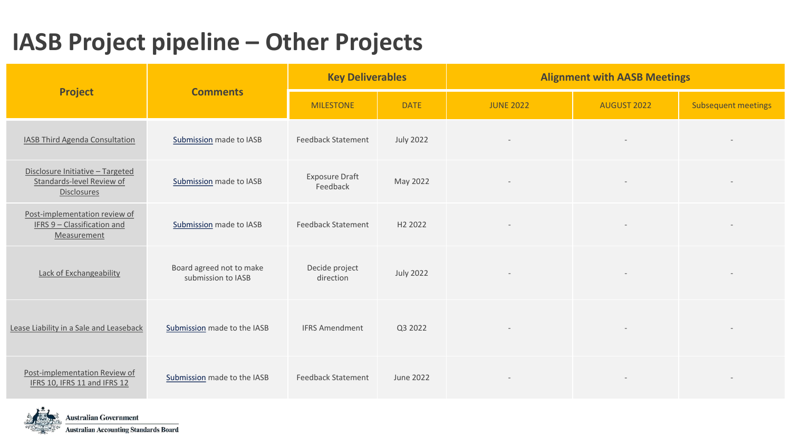|                                                                                     |                                                | <b>Key Deliverables</b>           |                     | <b>Alignment with AASB Meetings</b> |             |                            |  |  |
|-------------------------------------------------------------------------------------|------------------------------------------------|-----------------------------------|---------------------|-------------------------------------|-------------|----------------------------|--|--|
| <b>Project</b>                                                                      | <b>Comments</b>                                | <b>MILESTONE</b>                  | <b>DATE</b>         | <b>JUNE 2022</b>                    | AUGUST 2022 | <b>Subsequent meetings</b> |  |  |
| <b>IASB Third Agenda Consultation</b>                                               | Submission made to IASB                        | <b>Feedback Statement</b>         | <b>July 2022</b>    |                                     |             |                            |  |  |
| Disclosure Initiative - Targeted<br>Standards-level Review of<br><b>Disclosures</b> | Submission made to IASB                        | <b>Exposure Draft</b><br>Feedback | May 2022            |                                     |             |                            |  |  |
| Post-implementation review of<br>IFRS 9 - Classification and<br>Measurement         | Submission made to IASB                        | <b>Feedback Statement</b>         | H <sub>2</sub> 2022 |                                     |             |                            |  |  |
| Lack of Exchangeability                                                             | Board agreed not to make<br>submission to IASB | Decide project<br>direction       | <b>July 2022</b>    |                                     |             |                            |  |  |
| Lease Liability in a Sale and Leaseback                                             | Submission made to the IASB                    | <b>IFRS Amendment</b>             | Q3 2022             | $\rightarrow$                       |             |                            |  |  |
| Post-implementation Review of<br>IFRS 10, IFRS 11 and IFRS 12                       | Submission made to the IASB                    | <b>Feedback Statement</b>         | June 2022           |                                     |             |                            |  |  |

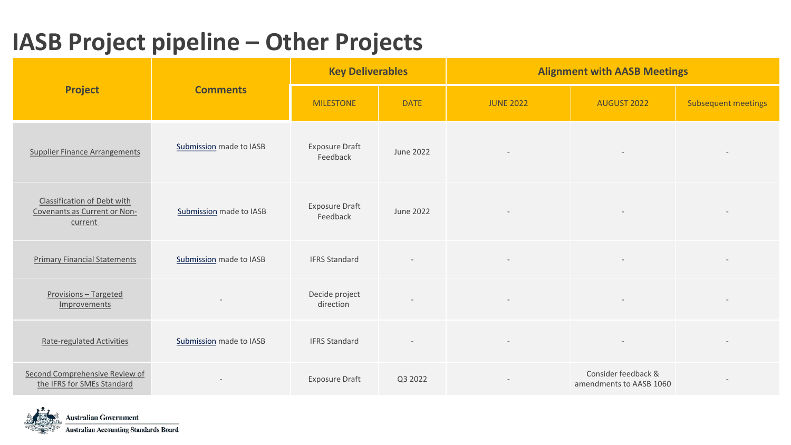|                                                                        |                         | <b>Key Deliverables</b>           |                  | <b>Alignment with AASB Meetings</b> |                                                |                            |  |  |
|------------------------------------------------------------------------|-------------------------|-----------------------------------|------------------|-------------------------------------|------------------------------------------------|----------------------------|--|--|
| <b>Project</b>                                                         | <b>Comments</b>         | <b>MILESTONE</b>                  | <b>DATE</b>      | <b>JUNE 2022</b>                    | AUGUST 2022                                    | <b>Subsequent meetings</b> |  |  |
| <b>Supplier Finance Arrangements</b>                                   | Submission made to IASB | <b>Exposure Draft</b><br>Feedback | <b>June 2022</b> |                                     |                                                |                            |  |  |
| Classification of Debt with<br>Covenants as Current or Non-<br>current | Submission made to IASB | <b>Exposure Draft</b><br>Feedback | June 2022        |                                     |                                                |                            |  |  |
| <b>Primary Financial Statements</b>                                    | Submission made to IASB | <b>IFRS Standard</b>              |                  |                                     |                                                |                            |  |  |
| Provisions - Targeted<br>Improvements                                  |                         | Decide project<br>direction       |                  | $\overline{\phantom{m}}$            |                                                |                            |  |  |
| <b>Rate-regulated Activities</b>                                       | Submission made to IASB | <b>IFRS Standard</b>              |                  | $\overline{\phantom{a}}$            |                                                |                            |  |  |
| Second Comprehensive Review of<br>the IFRS for SMEs Standard           |                         | <b>Exposure Draft</b>             | Q3 2022          |                                     | Consider feedback &<br>amendments to AASB 1060 |                            |  |  |

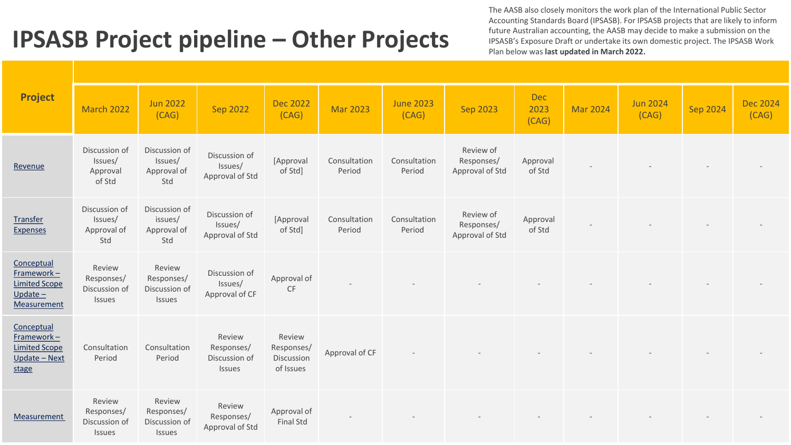The AASB also closely monitors the work plan of the International Public Sector Accounting Standards Board (IPSASB). For IPSASB projects that are likely to inform future Australian accounting, the AASB may decide to make a submission on the IPSASB's Exposure Draft or undertake its own domestic project. The IPSASB Work Plan below was **last updated in March 2022.**

| <b>Project</b>                                                                   | <b>March 2022</b>                               | <b>Jun 2022</b><br>(CAG)                        | <b>Sep 2022</b>                                 | <b>Dec 2022</b><br>(CAG)                        | <b>Mar 2023</b>        | <b>June 2023</b><br>(CAG) | <b>Sep 2023</b>                            | <b>Dec</b><br>2023<br>(CAG) | <b>Mar 2024</b> | <b>Jun 2024</b><br>(CAG) | <b>Sep 2024</b> | <b>Dec 2024</b><br>(CAG) |
|----------------------------------------------------------------------------------|-------------------------------------------------|-------------------------------------------------|-------------------------------------------------|-------------------------------------------------|------------------------|---------------------------|--------------------------------------------|-----------------------------|-----------------|--------------------------|-----------------|--------------------------|
| Revenue                                                                          | Discussion of<br>Issues/<br>Approval<br>of Std  | Discussion of<br>Issues/<br>Approval of<br>Std  | Discussion of<br>Issues/<br>Approval of Std     | [Approval<br>of Std]                            | Consultation<br>Period | Consultation<br>Period    | Review of<br>Responses/<br>Approval of Std | Approval<br>of Std          |                 |                          |                 |                          |
| Transfer<br><b>Expenses</b>                                                      | Discussion of<br>Issues/<br>Approval of<br>Std  | Discussion of<br>issues/<br>Approval of<br>Std  | Discussion of<br>Issues/<br>Approval of Std     | [Approval<br>of Std]                            | Consultation<br>Period | Consultation<br>Period    | Review of<br>Responses/<br>Approval of Std | Approval<br>of Std          |                 |                          |                 |                          |
| Conceptual<br>$Framework -$<br><b>Limited Scope</b><br>$Update -$<br>Measurement | Review<br>Responses/<br>Discussion of<br>Issues | Review<br>Responses/<br>Discussion of<br>Issues | Discussion of<br>Issues/<br>Approval of CF      | Approval of<br>CF                               |                        |                           |                                            |                             |                 |                          |                 |                          |
| Conceptual<br>Framework-<br><b>Limited Scope</b><br>Update - Next<br>stage       | Consultation<br>Period                          | Consultation<br>Period                          | Review<br>Responses/<br>Discussion of<br>Issues | Review<br>Responses/<br>Discussion<br>of Issues | Approval of CF         |                           |                                            |                             |                 |                          |                 |                          |
| Measurement                                                                      | Review<br>Responses/<br>Discussion of<br>Issues | Review<br>Responses/<br>Discussion of<br>Issues | Review<br>Responses/<br>Approval of Std         | Approval of<br><b>Final Std</b>                 |                        |                           |                                            |                             |                 |                          |                 |                          |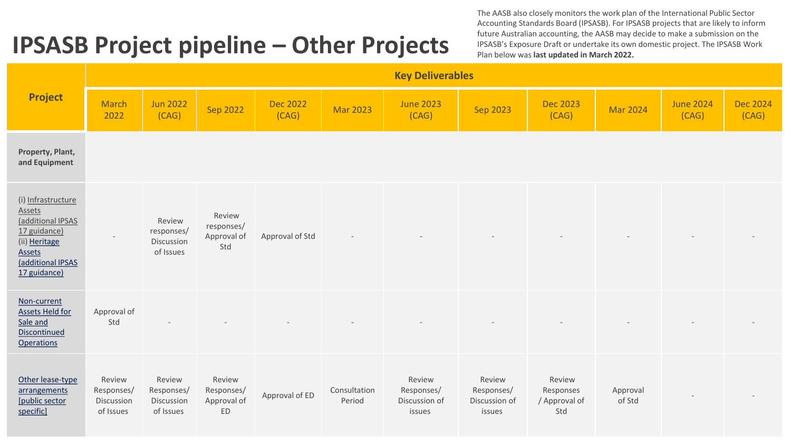The AASB also closely monitors the work plan of the International Public Sector Accounting Standards Board (IPSASB). For IPSASB projects that are likely to inform future Australian accounting, the AASB may decide to make a submission on the IPSASB's Exposure Draft or undertake its own domestic project. The IPSASB Work Plan below was **last updated in March 2022.**

|                                                                                                                                   |                                                 |                                                 |                                            |                          |                        | <b>Key Deliverables</b>                         |                                                 |                                             |                    |                           |                          |
|-----------------------------------------------------------------------------------------------------------------------------------|-------------------------------------------------|-------------------------------------------------|--------------------------------------------|--------------------------|------------------------|-------------------------------------------------|-------------------------------------------------|---------------------------------------------|--------------------|---------------------------|--------------------------|
| <b>Project</b>                                                                                                                    | <b>March</b><br>2022                            | <b>Jun 2022</b><br>(CAG)                        | Sep 2022                                   | <b>Dec 2022</b><br>(CAG) | <b>Mar 2023</b>        | <b>June 2023</b><br>(CAG)                       | <b>Sep 2023</b>                                 | <b>Dec 2023</b><br>(CAG)                    | <b>Mar 2024</b>    | <b>June 2024</b><br>(CAG) | <b>Dec 2024</b><br>(CAG) |
| Property, Plant,<br>and Equipment                                                                                                 |                                                 |                                                 |                                            |                          |                        |                                                 |                                                 |                                             |                    |                           |                          |
| (i) Infrastructure<br>Assets<br>(additional IPSAS<br>17 guidance)<br>(ii) Heritage<br>Assets<br>(additional IPSAS<br>17 guidance) |                                                 | Review<br>responses/<br>Discussion<br>of Issues | Review<br>responses/<br>Approval of<br>Std | Approval of Std          |                        |                                                 |                                                 |                                             |                    |                           |                          |
| Non-current<br><b>Assets Held for</b><br>Sale and<br>Discontinued<br><b>Operations</b>                                            | Approval of<br>Std                              |                                                 |                                            |                          |                        |                                                 |                                                 |                                             |                    |                           |                          |
| Other lease-type<br>arrangements<br>[public sector<br>specific]                                                                   | Review<br>Responses/<br>Discussion<br>of Issues | Review<br>Responses/<br>Discussion<br>of Issues | Review<br>Responses/<br>Approval of<br>ED  | Approval of ED           | Consultation<br>Period | Review<br>Responses/<br>Discussion of<br>issues | Review<br>Responses/<br>Discussion of<br>issues | Review<br>Responses<br>/ Approval of<br>Std | Approval<br>of Std |                           |                          |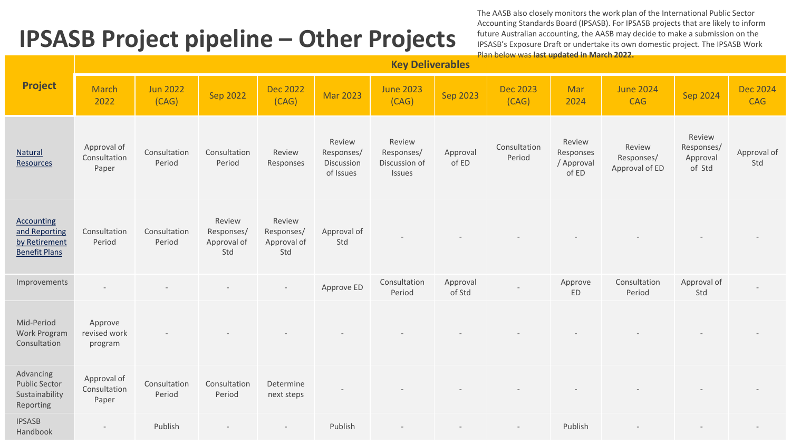The AASB also closely monitors the work plan of the International Public Sector Accounting Standards Board (IPSASB). For IPSASB projects that are likely to inform future Australian accounting, the AASB may decide to make a submission on the IPSASB's Exposure Draft or undertake its own domestic project. The IPSASB Work Plan below was **last updated in March 2022.**

|                                                                             |                                      |                          |                                            |                                            |                                                 | <b>Key Deliverables</b>                         |                    |                          |                                            |                                        |                                            |                               |
|-----------------------------------------------------------------------------|--------------------------------------|--------------------------|--------------------------------------------|--------------------------------------------|-------------------------------------------------|-------------------------------------------------|--------------------|--------------------------|--------------------------------------------|----------------------------------------|--------------------------------------------|-------------------------------|
| <b>Project</b>                                                              | <b>March</b><br>2022                 | <b>Jun 2022</b><br>(CAG) | <b>Sep 2022</b>                            | <b>Dec 2022</b><br>(CAG)                   | <b>Mar 2023</b>                                 | <b>June 2023</b><br>(CAG)                       | Sep 2023           | <b>Dec 2023</b><br>(CAG) | Mar<br>2024                                | <b>June 2024</b><br><b>CAG</b>         | <b>Sep 2024</b>                            | <b>Dec 2024</b><br><b>CAG</b> |
| <b>Natural</b><br><b>Resources</b>                                          | Approval of<br>Consultation<br>Paper | Consultation<br>Period   | Consultation<br>Period                     | Review<br>Responses                        | Review<br>Responses/<br>Discussion<br>of Issues | Review<br>Responses/<br>Discussion of<br>Issues | Approval<br>of ED  | Consultation<br>Period   | Review<br>Responses<br>/ Approval<br>of ED | Review<br>Responses/<br>Approval of ED | Review<br>Responses/<br>Approval<br>of Std | Approval of<br>Std            |
| <b>Accounting</b><br>and Reporting<br>by Retirement<br><b>Benefit Plans</b> | Consultation<br>Period               | Consultation<br>Period   | Review<br>Responses/<br>Approval of<br>Std | Review<br>Responses/<br>Approval of<br>Std | Approval of<br>Std                              |                                                 |                    |                          |                                            |                                        |                                            |                               |
| Improvements                                                                | $\sim$                               |                          |                                            | $\overline{\phantom{a}}$                   | Approve ED                                      | Consultation<br>Period                          | Approval<br>of Std |                          | Approve<br>ED                              | Consultation<br>Period                 | Approval of<br>Std                         |                               |
| Mid-Period<br>Work Program<br>Consultation                                  | Approve<br>revised work<br>program   |                          |                                            |                                            |                                                 |                                                 |                    |                          |                                            |                                        |                                            |                               |
| Advancing<br><b>Public Sector</b><br>Sustainability<br>Reporting            | Approval of<br>Consultation<br>Paper | Consultation<br>Period   | Consultation<br>Period                     | Determine<br>next steps                    |                                                 |                                                 |                    |                          |                                            |                                        |                                            |                               |
| <b>IPSASB</b><br>Handbook                                                   |                                      | Publish                  |                                            |                                            | Publish                                         |                                                 |                    |                          | Publish                                    |                                        |                                            |                               |